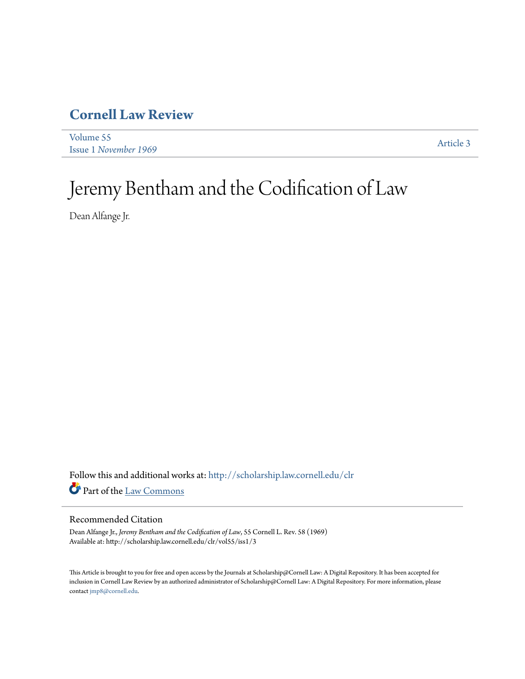## **[Cornell Law Review](http://scholarship.law.cornell.edu/clr?utm_source=scholarship.law.cornell.edu%2Fclr%2Fvol55%2Fiss1%2F3&utm_medium=PDF&utm_campaign=PDFCoverPages)**

[Volume 55](http://scholarship.law.cornell.edu/clr/vol55?utm_source=scholarship.law.cornell.edu%2Fclr%2Fvol55%2Fiss1%2F3&utm_medium=PDF&utm_campaign=PDFCoverPages) Issue 1 *[November 1969](http://scholarship.law.cornell.edu/clr/vol55/iss1?utm_source=scholarship.law.cornell.edu%2Fclr%2Fvol55%2Fiss1%2F3&utm_medium=PDF&utm_campaign=PDFCoverPages)* [Article 3](http://scholarship.law.cornell.edu/clr/vol55/iss1/3?utm_source=scholarship.law.cornell.edu%2Fclr%2Fvol55%2Fiss1%2F3&utm_medium=PDF&utm_campaign=PDFCoverPages)

# Jeremy Bentham and the Codification of Law

Dean Alfange Jr.

Follow this and additional works at: [http://scholarship.law.cornell.edu/clr](http://scholarship.law.cornell.edu/clr?utm_source=scholarship.law.cornell.edu%2Fclr%2Fvol55%2Fiss1%2F3&utm_medium=PDF&utm_campaign=PDFCoverPages) Part of the [Law Commons](http://network.bepress.com/hgg/discipline/578?utm_source=scholarship.law.cornell.edu%2Fclr%2Fvol55%2Fiss1%2F3&utm_medium=PDF&utm_campaign=PDFCoverPages)

#### Recommended Citation

Dean Alfange Jr., *Jeremy Bentham and the Codification of Law*, 55 Cornell L. Rev. 58 (1969) Available at: http://scholarship.law.cornell.edu/clr/vol55/iss1/3

This Article is brought to you for free and open access by the Journals at Scholarship@Cornell Law: A Digital Repository. It has been accepted for inclusion in Cornell Law Review by an authorized administrator of Scholarship@Cornell Law: A Digital Repository. For more information, please contact [jmp8@cornell.edu.](mailto:jmp8@cornell.edu)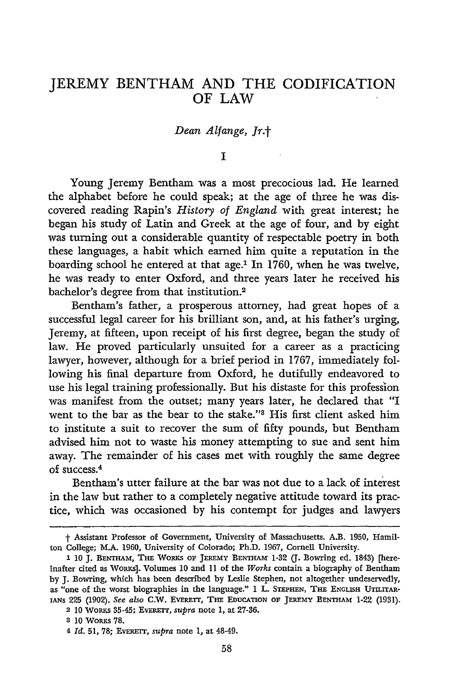### JEREMY **BENTHAM AND** THE CODIFICATION OF LAW

#### *Dean Alfange, Jr.t*

*I*

Young Jeremy Bentham was a most precocious lad. He learned the alphabet before he could speak; at the age of three he was discovered reading Rapin's *History of England* with great interest; he began his study of Latin and Greek at the age of four, and by eight was turning out a considerable quantity of respectable poetry in both these languages, a habit which earned him quite a reputation in the boarding school he entered at that age.<sup>1</sup> In 1760, when he was twelve, he was ready to enter Oxford, and three years later he received his bachelor's degree from that institution.2

Bentham's father, a prosperous attorney, had great hopes of a successful legal career for his brilliant son, and, at his father's urging, Jeremy, at fifteen, upon receipt of his first degree, began the study of law. He proved particularly unsuited for a career as a practicing lawyer, however, although for a brief period in 1767, immediately following his final departure from Oxford, he dutifully endeavored to use his legal training professionally. But his distaste for this profession was manifest from the outset; many years later, he declared that "I went to the bar as the bear to the stake."<sup>3</sup> His first client asked him to institute a suit to recover the sum of fifty pounds, but Bentham advised him not to waste his money attempting to sue and sent him away. The remainder of his cases met with roughly the same degree of success.<sup>4</sup>

Bentham's utter failure at the bar was not due to a lack of interest in the law but rather to a completely negative attitude toward its practice, which was occasioned by his contempt for judges and lawyers

**t** Assistant Professor of Government, University of Massachusetts. A.B. 1950, Hamilton College; M.A. 1960, University of Colorado; Ph.D. 1967, Cornell University.

**<sup>1</sup>** 10 **J. BENTEAm, THE** WoRKs OF **JEREmy BENTtAm** 1-32 **(J.** Bowring ed. 1843) [hereinafter cited as WoRKs]. Volumes 10 and 11 of the *Works* contain a biography of Bentham by J. Bowring, which has been described by Leslie Stephen, not altogether undeservedly, as "one of the worst biographies in the language." 1 L. **STEPHEN, THE** ENGLISH **UTILrrAR**iANs **225** (1902). *See also* C.W. EVERETr, **THE EDUCATION OF JEREMY** BENTHAM 1-22 (1931).

<sup>2</sup> **10** WoRKs 35-45; EVERETT, *supra* note 1, at 27-36.

**<sup>8 10</sup>** WoRKs **78.**

<sup>4</sup> *Id.* **51, 78;** EvER=r, *supra* note **1,** at 48-49.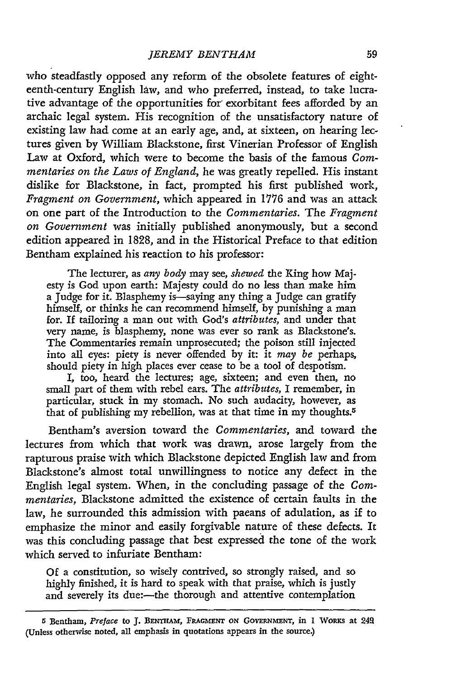who steadfastly opposed any reform of the obsolete features of eighteenth-century English law, and who preferred, instead, to take lucrative advantage of the opportunities for exorbitant fees afforded by an archaic legal system. His recognition of the unsatisfactory nature of existing law had come at an early age, and, at sixteen, on hearing lectures given by William Blackstone, first Vinerian Professor of English Law at Oxford, which were to become the basis of the famous *Commentaries on the Laws of England,* he was greatly repelled. His instant dislike for Blackstone, in fact, prompted his first published work, *Fragment on Government,* which appeared in 1776 and was an attack on one part of the Introduction to the *Commentaries.* The *Fragment on Government* was initially published anonymously, but a second edition appeared in 1828, and in the Historical Preface to that edition Bentham explained his reaction to his professor:

The lecturer, as *any body* may see, *shewed* the King how Majesty is God upon earth: Majesty could do no less than make him a Judge for it. Blasphemy is-saying any thing a Judge can gratify himself, or thinks he can recommend himself, by punishing a man for. If tailoring a man out with God's *attributes,* and under that very name, is blasphemy, none was ever so rank as Blackstone's. The Commentaries remain unprosecuted; the poison still injected into all eyes: piety is never offended by it: it *may be* perhaps, should piety in high places ever cease to be a tool of despotism.

I, too, heard the lectures; age, sixteen; and even then, no small part of them with rebel ears. The *attributes,* I remember, in particular, stuck in my stomach. No such audacity, however, as that of publishing my rebellion, was at that time in my thoughts.5

Bentham's aversion toward the *Commentaries,* and toward the lectures from which that work was drawn, arose largely from the rapturous praise with which Blackstone depicted English law and from Blackstone's almost total unwillingness to notice any defect in the English legal system. When, in the concluding passage of the *Commentaries,* Blackstone admitted the existence of certain faults in the law, he surrounded this admission with paeans of adulation, as if to emphasize the minor and easily forgivable nature of these defects. It was this concluding passage that best expressed the tone of the work which served to infuriate Bentham:

Of a constitution, so wisely contrived, so strongly raised, and so highly finished, it is hard to speak with that praise, which is justly and severely its due:- the thorough and attentive contemplation

**<sup>5</sup>**Bentham, *Preface* to **J. BENTHAM, FRAGMENT ON GOVERNMNENT,** in 1 WoRKS at 249 (Unless otherwise noted, all emphasis in quotations appears in the source.)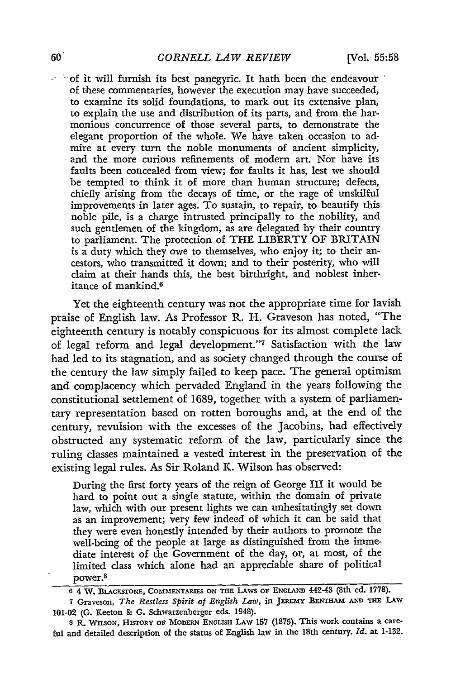$\sim$  of it will furnish its best panegyric. It hath been the endeavour of these commentaries, however the execution may have succeeded, to examine its solid foundations, to mark out its extensive plan, to explain the use and distribution of its parts, and from the harmonious concurrence of those several parts, to demonstrate the elegant proportion of the whole. We have taken occasion to admire at every turn the noble monuments of ancient simplicity, and the more curious refinements of modern art. Nor have its faults been concealed from view; for faults it has, lest we should be tempted to think it of more than human structure; defects, chiefly arising from the decays of time, or the rage of unskilful improvements in later ages. To sustain, to repair, to beautify this noble pile, is a charge intrusted principally to the nobility, and such gentlemen of the kingdom, as are delegated **by** their country to parliament. The protection of THE LIBERTY OF BRITAIN is a duty which they owe to themselves, who enjoy it; to their ancestors, who transmitted it down; and to their posterity, who will claim at their hands this, the best birthright, and noblest inheritance of mankind.<sup>6</sup>

Yet the eighteenth century was not the appropriate time for lavish praise of English law. As Professor R. H. Graveson has noted, "The eighteenth century is notably conspicuous for its almost complete lack of legal reform and legal development."7 Satisfaction with the law had led to its stagnation, and as society changed through the course of the century the law simply failed to keep pace. The general optimism and complacency which pervaded England in the years following the constitutional settlement of **1689,** together with a system of parliamentary representation based on rotten boroughs and, at the end of the century, revulsion with the excesses of the Jacobins, had effectively obstructed any systematic reform of the law, particularly since the ruling classes maintained a vested interest in the preservation of the existing legal rules. As Sir Roland K. Wilson has observed:

During the first forty years of the reign of George **III** it would be hard to point out a single statute, within the domain of private law, which with our present lights we can unhesitatingly set down as an improvement; very few indeed of which it can be said that they were even honestly intended by their authors to promote the well-being of the people at large as distinguished from the immediate interest of the Government of the day, or, at most, of the limited class which alone had an appreciable share of political 8 power.

**8** R. WILSON, **HISTORY OF MODERN ENGLISH LAW 157 (1875).** This work contains a care**ful** and detailed description **of** the status **of** English law **in** the 18th century. *Id.* **at** 1-132.

**<sup>6</sup>** 4 W. **BLACKSTONE, COMMENTARIES ON THE LAWs** OF **ENGLAND 442-43 (8th ed. 1778).**

**<sup>7</sup>** Graveson, *The Restless Spirit of English Law,* **in** JEREMY **BENTHAM AND THE LAiv** 101-02 **(G.** Keeton **& G.** Schwarzenberger eds. 1948).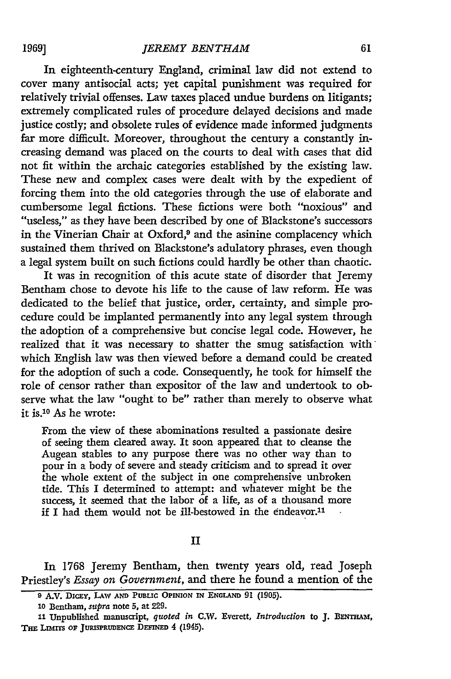In eighteenth-century England, criminal law did not extend to cover many antisocial acts; yet capital punishment was required for relatively trivial offenses. Law taxes placed undue burdens on litigants; extremely complicated rules of procedure delayed decisions and made justice costly; and obsolete rules of evidence made informed judgments far more difficult. Moreover, throughout the century a constantly increasing demand was placed on the courts to deal with cases that did not fit within the archaic categories established by the existing law. These new and complex cases were dealt with by the expedient of forcing them into the old categories through the use of elaborate and cumbersome legal fictions. These fictions were both "noxious" and "useless," as they have been described by one of Blackstone's successors in the Vinerian Chair at Oxford,9 and the asinine complacency which sustained them thrived on Blackstone's adulatory phrases, even though a legal system built on such fictions could hardly be other than chaotic.

It was in recognition of this acute state of disorder that Jeremy Bentham chose to devote his life to the cause of law reform. He was dedicated to the belief that justice, order, certainty, and simple procedure could be implanted permanently into any legal system through the adoption of a comprehensive but concise legal code. However, he realized that it was necessary to shatter the smug satisfaction with which English law was then Viewed before a demand could be created for the adoption of such a code. Consequently, he took for himself the role of censor rather than expositor of the law and undertook to observe what the law "ought to be" rather than merely to observe what it is.10 As he wrote:

From the view of these abominations resulted a passionate desire of seeing them cleared away. It soon appeared that to cleanse the Augean stables to any purpose there was no other way than to pour in a body of severe and steady criticism and to spread it over the whole extent of the subject in one comprehensive unbroken tide. This I determined to attempt: and whatever might be the success, it seemed that the labor of a life, as of a thousand more if I had them would not be ill-bestowed in the endeavor.<sup>11</sup>

#### II

In 1768 Jeremy Bentham, then twenty years old, read Joseph Priestley's *Essay on Government,* and there he found a mention of the

**1969]**

**<sup>9</sup>** A.V. DICEY, **LAW AND PUBLIC OPINION IN ENGLAND 91 (1905).**

**<sup>10</sup>** Bentham, *supra* note **5,** at **229.**

**<sup>11</sup>**Unpublished **manuscript,** *quoted in* **C.W.** Everett, *Introduction* to **J. BENTiAM,** THE LIMITS OF JURISPRUDENCE DEFINED 4 (1945).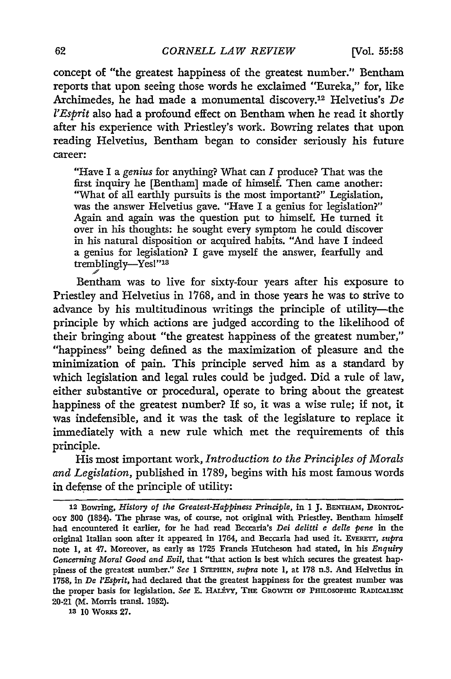concept of "the greatest happiness of the greatest number." Bentham reports that upon seeing those words he exclaimed "Eureka," for, like Archimedes, he had made a monumental discovery.12 Helvetius's *De l'Esprit* also had a profound effect on Bentham when he read it shortly after his experience with Priestley's work. Bowring relates that upon reading Helvetius, Bentham began to consider seriously his future career:

"Have I a *genius* for anything? What can *I* produce? That was the first inquiry he [Bentham] made of himself. Then came another: "What of all earthly pursuits is the most important?" Legislation, was the answer Helvetius gave. "Have I a genius for legislation?" Again and again was the question put to himself. He turned it over in his thoughts: he sought every symptom he could discover in his natural disposition or acquired habits. "And have I indeed a genius for legislation? **I** gave myself the answer, fearfully and tremblingly-Yes!"13

Bentham was to live for sixty-four years after his exposure to Priestley and Helvetius in 1768, and in those years he was to strive to advance by his multitudinous writings the principle of utility-the principle by which actions are judged according to the likelihood of their bringing about "the greatest happiness of the greatest number," "happiness" being defined as the maximization of pleasure and the minimization of pain. This principle served him as a standard by which legislation and legal rules could be judged. Did a rule of law, either substantive or procedural, operate to bring about the greatest happiness of the greatest number? If so, it was a wise rule; if not, it was indefensible, and it was the task of the legislature to replace it immediately with a new rule which met the requirements of this principle.

His most important work, *Introduction to the Principles of Morals and Legislation,* published in 1789, begins with his most famous words in defense of the principle of utility:

**13 10** Woaxs **27.**

**<sup>12</sup>** Bowring, *History of the Greatest-Happiness Principle,* in **I J. BENTHAm,** DEONTOLoGy **00** (1834). The phrase was, of course, not original with Priestley. Bentham himself had encountered it earlier, for he had read Beccaria's *Dei delitti e delle pene* in the original Italian soon after it appeared in 1764, and Beccaria had used it. EvERETT, *supra* note **1,** at 47. Moreover, as early as **1725** Francis Hutcheson had stated, in his *Enquiry Concerning Moral Good and Evil,* that "that action is best which secures the greatest hap. piness of the greatest number." *See* 1 **STEPHEN,** *supra* note **1,** at **178** n.3. **And** Helvetius in **1758,** in *De l'Esprit,* had declared that the greatest happiness for the greatest number was the proper basis for legislation. *See* **E.** HALtVY, **THE** GRO-W **OF PHILOSoPHIc RADIcALISM** 20-21 (M. Morris transl. **1952).**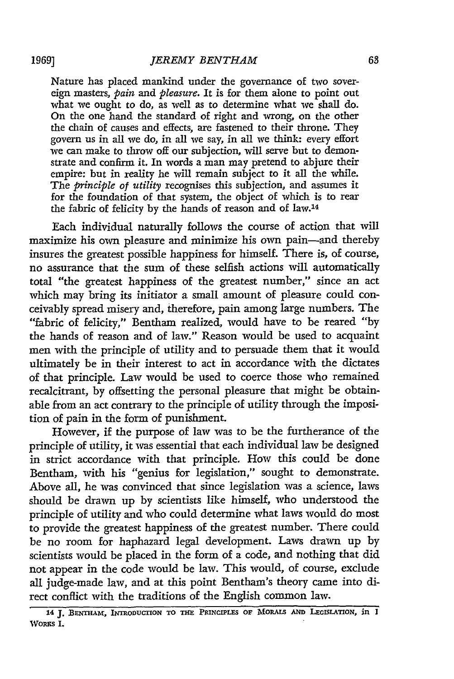Nature has placed mankind under the governance of two sovereign masters, *pain and pleasure.* It is for them alone to point out what we ought to do, as well as to determine what we shall do. On the one hand the standard of right and wrong, on the other the chain of causes and effects, are fastened to their throne. They govern us in all we do, in all we say, in all we think: every effort we can make to throw off our subjection, will serve but to demonstrate and confirm it. In words a man may pretend to abjure their empire: but in reality he will remain subject to it all the while. The *principle of utility* recognises this subjection, and assumes it for the foundation of that system, the object of which is to rear the fabric of felicity by the hands of reason and of law.14

Each individual naturally follows the course of action that will maximize his own pleasure and minimize his own pain-and thereby insures the greatest possible happiness for himself. There is, of course, no assurance that the sum of these selfish actions will automatically total "the greatest happiness of the greatest number," since an act which may bring its initiator a small amount of pleasure could conceivably spread misery and, therefore, pain among large numbers. The "fabric of felicity," Bentham realized, would have to be reared **"by** the hands of reason and of law." Reason would be used to acquaint men with the principle of utility and to persuade them that it would ultimately be in their interest to act in accordance with the dictates of that principle. Law would be used to coerce those who remained recalcitrant, by offsetting the personal pleasure that might be obtainable from an act contrary to the principle of utility through the imposition of pain in the form of punishment.

However, if the purpose of law was to be the furtherance of the principle of utility, it was essential that each individual law be designed in strict accordance with that principle. How this could be done Bentham, with his "genius for legislation," sought to demonstrate. Above all, he was convinced that since legislation was a science, laws should be drawn up by scientists like himself, who understood the principle of utility and who could determine what laws would do most to provide the greatest happiness of the greatest number. There could be no room for haphazard legal development. Laws drawn up by scientists would be placed in the form of a code, and nothing that did not appear in the code would be law. This would, of course, exclude all judge-made law, and at this point Bentham's theory came into direct conflict with the traditions of the English common law.

**<sup>14</sup> J. BENTHAM, INTRODUCTION TO THE PRINCIPLES OF MORALS AND LEGISLATION,** *in* **I WoRKs** 1.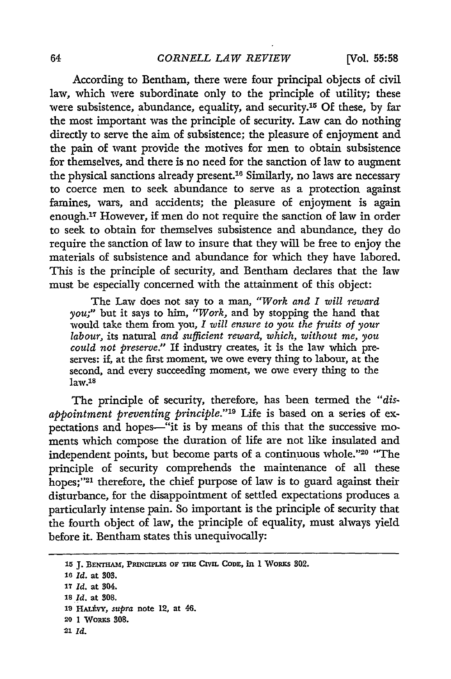**[Vol. 55:58**

According to Bentham, there were four principal objects of civil law, which were subordinate only to the principle of utility; these were subsistence, abundance, equality, and security.15 Of these, by far the most important was the principle of security. Law can do nothing directly to serve the aim of subsistence; the pleasure of enjoyment and the pain of want provide the motives for men to obtain subsistence for themselves, and there is no need for the sanction of law to augment the physical sanctions already present.<sup>16</sup> Similarly, no laws are necessary to coerce men to seek abundance to serve as a protection against famines, wars, and accidents; the pleasure of enjoyment is again enough.<sup>17</sup> However, if men do not require the sanction of law in order to seek to obtain for themselves subsistence and abundance, they do require the sanction of law to insure that they will be free to enjoy the materials of subsistence and abundance for which they have labored. This is the principle of security, and Bentham declares that the law must be especially concerned with the attainment of this object:

The Law does not say to a man, *"Work and I will reward you;"* but it says to him, *"Work,* and by stopping the hand that would take them from you, *I will ensure to you the fruits of your labour,* its natural *and sufficient reward, which, without me, you could not preserve."* If industry creates, it is the law which preserves: if, at the first moment, we owe every thing to labour, at the second, and every succeeding moment, we owe every thing to the  $law<sup>18</sup>$ 

The principle of security, therefore, has been termed the *"disappointment preventing principle."'19* Life is based on a series of expectations and hopes--"it is **by** means of this that the successive moments which compose the duration of life are not like insulated and independent points, but become parts of a continuous whole."20 "The principle of security comprehends the maintenance of all these hopes;"<sup>21</sup> therefore, the chief purpose of law is to guard against their disturbance, for the disappointment of settled expectations produces a particularly intense pain. So important is the principle of security that the fourth object of law, the principle of equality, must always yield before it. Bentham states this unequivocally:

**<sup>15</sup> J. BENTHAM, PRINCIPLES OF THE CIVM CODE,** in **1** WoRKs 302.

*<sup>16</sup> Id.* **at 303.**

*<sup>17</sup> Id.* at 304.

**<sup>18</sup>** *Id.* at **308.**

**<sup>19</sup>** *HAL VY, supra* note **12,** at 46.

**<sup>20 1</sup>** WoRKs 808.

**<sup>21</sup>** *Id.*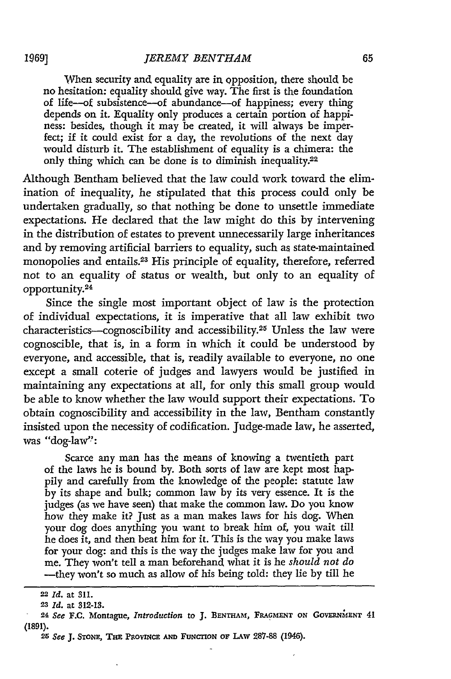When security and equality are **in.** opposition, there should be no hesitation: equality should give way. The first is the foundation of life-of subsistence-of abundance-of happiness; every thing depends on it. Equality only produces a certain portion of happiness: besides, though it may be created, it will always be imperfect; if it could exist for a day, the revolutions of the next day would disturb it. The establishment of equality is a chimera: the only thing which can be done is to diminish inequality.<sup>22</sup>

Although Bentham believed that the law could work toward the elimination of inequality, he stipulated that this process could only be undertaken gradually, so that nothing be done to unsettle immediate expectations. He declared that the law might do this by intervening in the distribution of estates to prevent unnecessarily large inheritances and by removing artificial barriers to equality, such as state-maintained monopolies and entails.<sup>23</sup> His principle of equality, therefore, referred not to an equality of status or wealth, but only to an equality of opportunity.<sup>24</sup>

Since the single most important object of law is the protection of individual expectations, it is imperative that all law exhibit two characteristics-cognoscibility and accessibility.25 Unless the law were cognoscible, that is, in a form in which it could be understood by everyone, and accessible, that is, readily available to everyone, no one except a small coterie of judges and lawyers would be justified in maintaining any expectations at all, for only this small group would be able to know whether the law would support their expectations. To obtain cognoscibility and accessibility in the law, Bentham constantly insisted upon the necessity of codification. Judge-made law, he asserted, was "dog-law":

Scarce any man has the means of knowing a twentieth part of the laws he is bound by. Both sorts of law are kept most happily and carefully from the knowledge of the people: statute law by its shape and bulk; common law by its very essence. It is the judges (as we have seen) that make the common law. Do you know how they make it? Just as a man makes laws for his dog. When your dog does anything you want to break him of, you wait till he does it, and then beat him for it. This is the way you make laws for your dog: and this is the way the judges make law for you and me. They won't tell a man beforehand what it is he *should not do* -they won't so much as allow of his being told: they lie by till he

19691

<sup>22</sup> *Id.* at **311.**

**<sup>23</sup>** *Id.* at **312-13.**

<sup>24</sup> *See* **F.C.** Montague, *Introduction* to **J. BENTHAM, FRAGMENT ON GOVERNhdENT** 41 **(1891).**

*<sup>25</sup> See* J. STONE, **TaE PRoviNcE AmD FUNCION OF LAw 287-88** (1946).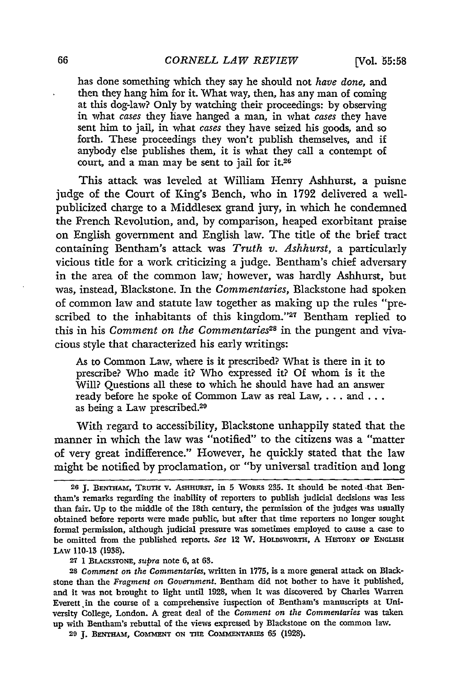has done something which they say he should not *have done,* and then they hang him for it. What way, then, has any man of coming at this dog-law? Only by watching their proceedings: by observing in what *cases* they have hanged a man, in what *cases* they have sent him to jail, in what *cases* they have seized his goods, and so forth. These proceedings they won't publish themselves, and if anybody else publishes them, it is what they call a contempt of court, and a man may be sent to jail for it.26

This attack was leveled at William Henry Ashhurst, a puisne judge of the Court of King's Bench, who in 1792 delivered a wellpublicized charge to a Middlesex grand jury, in which he condemned the French Revolution, and, by comparison, heaped exorbitant praise on English government and English law. The title of the brief tract containing Bentham's attack was *Truth v. Ashhurst,* a particularly vicious title for a work criticizing a judge. Bentham's chief adversary in the area of the common law; however, was hardly Ashhurst, but was, instead, Blackstone. In the *Commentaries,* Blackstone had spoken of common law and statute law together as making up the rules "prescribed to the inhabitants of this kingdom."<sup>27</sup> Bentham replied to this in his *Comment on the Commentaries*<sup>28</sup> in the pungent and vivacious style that characterized his early writings:

As to Common Law, where is it prescribed? What is there in it to prescribe? Who made it? Who expressed it? Of whom is it the Will? Questions all these to which he should have had an answer ready before he spoke of Common Law as real Law, . . . and . . . as being a Law prescribed.<sup>29</sup>

With regard to accessibility, Blackstone unhappily stated that the manner in which the law was "notified" to the citizens was a "matter of very great indifference." However, he quickly stated that the law might be notified by proclamation, or "by universal tradition and long

**27 1 BLACKSrONE,** *supra* note 6, at **63.**

28 *Comment on the Commentaries,* written in **1775,** is a more general attack on Blackstone than the *Fragment on Government.* Bentham did not bother to have it published, and it was not brought to light until 1928, when it was discovered by Charles Warren Everett in the course of a comprehensive inspection of Bentham's manuscripts at University College, London. A great deal of the *Comment on the Commentaries* was taken up with Bentham's rebuttal of the views expressed by Blackstone on the common law.

29 J. BENTHAM, COMMENT ON THE COMMENTARIES 65 (1928).

**<sup>26</sup> J. BENTHAM, TRUTH v. AsHHURsT,** in 5 WORKS **235.** It should be noted that Bentham's remarks regarding the inability of reporters to publish judicial decisions was less than fair. **Up** to the middle of the 18th century, the permission of the judges was usually obtained before reports were made public, but after that time reporters no longer sought formal permission, although judicial pressure was sometimes employed to cause a case to be omitted from the published reports. *See* 12 W. HoLDswoRTH, A HISTORY **OF ENGLISH** LAw **110-13** (1938).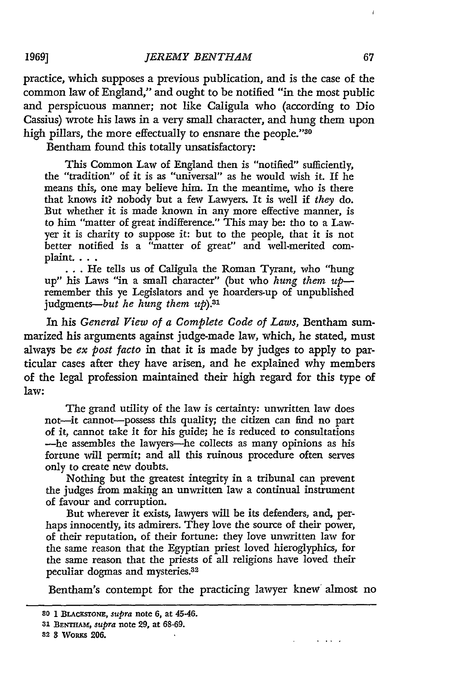practice, which supposes a previous publication, and is the case of the common law of England," and ought to be notified "in the most public and perspicuous manner; not like Caligula who (according to Dio Cassius) wrote his laws in a very small character, and hung them upon high pillars, the more effectually to ensnare the people."30

Bentham found this totally unsatisfactory:

**1969]**

This Common Law of England then is "notified" sufficiently, the "tradition" of it is as "universal" as he would wish it. If he means this, one may believe him. In the meantime, who is there that knows it? nobody but a few Lawyers. It is well if *they* do. But whether it is made known in any more effective manner, is to him "matter of great indifference." This may be: tho to a Lawyer it is charity to suppose it: but to the people, that it is not better notified is a "matter of great" and well-merited complaint. . . .

**...** He tells us of Caligula the Roman Tyrant, who "hung up" his Laws "in a small character" (but who *hung them up*remember this ye Legislators and ye hoarders-up of unpublished judgments-but he hung them up).<sup>31</sup>

In his *General View of a Complete Code of Laws,* Bentham summarized his arguments against judge-made law, which, he stated, must always be *ex post facto* in that it is made by judges to apply to particular cases after they have arisen, and he explained why members of the legal profession maintained their high regard for this type of law:

The grand utility of the law is certainty: unwritten law does not-it cannot-possess this quality; the citizen can find no part of it, cannot take it for his guide; he is reduced to consultations -he assembles the lawyers-he collects as many opinions as his fortune will permit; and all this ruinous procedure often serves only to create new doubts.

Nothing but the greatest integrity in a tribunal can prevent the judges from making an unwritten law a continual instrument of favour and corruption.

But wherever it exists, lawyers will be its defenders, and, perhaps innocently, its admirers. They love the source of their power, of their reputation, of their fortune: they love unwritten law for the same reason that the Egyptian priest loved hieroglyphics, for the same reason that the priests of all religions have loved their peculiar dogmas and mysteries.32

Bentham's contempt for the practicing lawyer knew almost no

 $\sim$   $\sim$   $\sim$   $\sim$   $\sim$ 

**82 3** *Wopus* **206.**

<sup>80 1</sup> BLACKSTONE, *supra* note 6, at 45-46.

**<sup>31</sup> BENTHAm,** *supra* note 29, at **68-69.**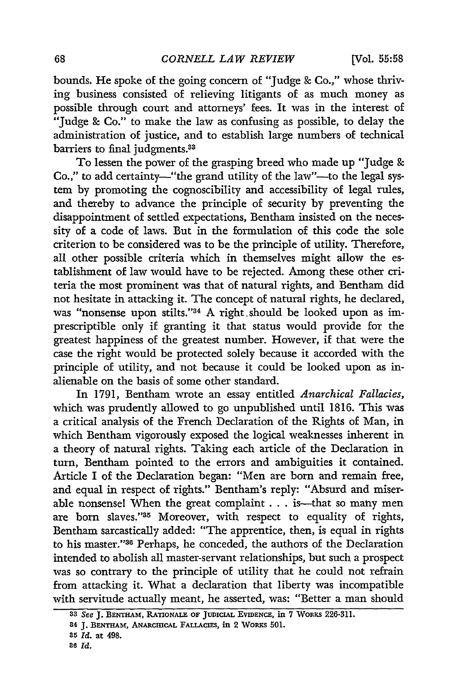bounds, He spoke of the going concern of "Judge **&** Co.," whose thriving business consisted of relieving litigants of as much money as possible through court and attorneys' fees. It was in the interest of "Judge **&** Co." to make the law as confusing as possible, to delay the administration of justice, and to establish large numbers of technical barriers to final judgments.<sup>33</sup>

To lessen the power of the grasping breed who made up "Judge & Co.," to add certainty—"the grand utility of the law"—to the legal system by promoting the cognoscibility and accessibility of legal rules, and thereby to advance the principle of security by preventing the disappointment of settled expectations, Bentham insisted on the necessity of a code of laws. But in the formulation of this code the sole criterion to be considered was to be the principle of utility. Therefore, all other possible criteria which in themselves might allow the establishment of law would have to be rejected. Among these other criteria the most prominent was that of natural rights, and Bentham did not hesitate in attacking it. The concept of natural rights, he declared, was "nonsense upon stilts."34 A right should be looked upon as imprescriptible only if granting it that status would provide for the greatest happiness of the greatest number. However, if that were the case the right would be protected solely because it accorded with the principle of utility, and not because it could be looked upon as inalienable on the basis of some other standard.

In 1791, Bentham wrote an essay entitled *Anarchical Fallacies,* which was prudently allowed to go unpublished until 1816. This was a critical analysis of the French Declaration of the Rights of Man, in which Bentham vigorously exposed the logical weaknesses inherent in a theory of natural rights. Taking each article of the Declaration in turn, Bentham pointed to the errors and ambiguities it contained. Article I of the Declaration began: "Men are born and remain free, and equal in respect of rights." Bentham's reply: "Absurd and miserable nonsensel When the great complaint . . . is -- that so many men are born slaves."<sup>35</sup> Moreover, with respect to equality of rights, Bentham sarcastically added: "The apprentice, then, is equal in rights to his master."<sup>36</sup> Perhaps, he conceded, the authors of the Declaration intended to abolish all master-servant relationships, but such a prospect was so contrary to the principle of utility that he could not refrain from attacking it. What a declaration that liberty was incompatible with servitude actually meant, he asserted, was: "Better a man should

*<sup>33</sup> See* **J. BENTHAm, RATIONALE OF JUDICIAL EVIDENCE, in 7 WoRuS 226-311.**

**<sup>34</sup> J.** BNwT.Am, **ANARCmCAL FALLACIS, in 2 WoaxS 501.**

**<sup>35</sup>** *Id.* **at 498.**

*<sup>86</sup> Id.*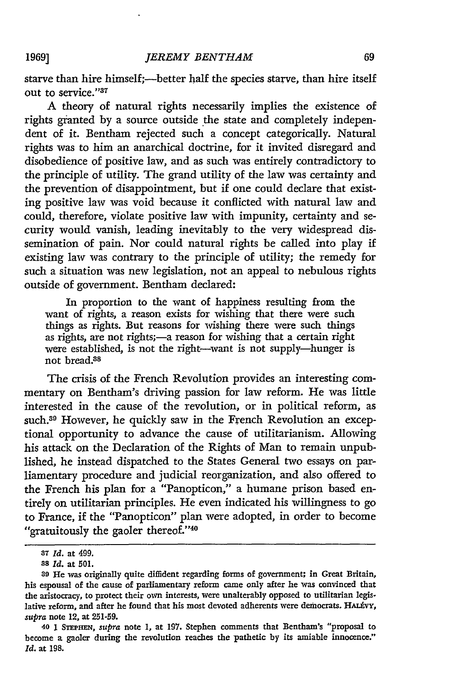starve than hire himself;—better half the species starve, than hire itself out to service."<sup>37</sup>

**A** theory of natural rights necessarily implies the existence of rights granted by a source outside the state and completely independent of it. Bentham rejected such a concept categorically. Natural rights was to him an anarchical doctrine, for it invited disregard and disobedience of positive law, and as such was entirely contradictory to the principle of utility. The grand utility of the law was certainty and the prevention of disappointment, but if one could declare that existing positive law was void because it conflicted with natural law and could, therefore, violate positive law with impunity, certainty and security would vanish, leading inevitably to the very widespread dissemination of pain. Nor could natural rights be called into play if existing law was contrary to the principle of utility; the remedy for such a situation was new legislation, not an appeal to nebulous rights outside of government. Bentham declared:

In proportion to the want of happiness resulting from the want of rights, a reason exists for wishing that there were such things as rights. But reasons for wishing there were such things as rights, are not rights;-a reason for wishing that a certain right were established, is not the right-want is not supply-hunger is not bread.38

The crisis of the French Revolution provides an interesting commentary on Bentham's driving passion for law reform. He was little interested in the cause of the revolution, or in political reform, as such.<sup>39</sup> However, he quickly saw in the French Revolution an exceptional opportunity to advance the cause of utilitarianism. Allowing his attack on the Declaration of the Rights of Man to remain unpublished, he instead dispatched to the States General two essays on parliamentary procedure and judicial reorganization, and also offered to the French his plan for a "Panopticon," a humane prison based entirely on utilitarian principles. He even indicated his willingness to go to France, if the "Panopticon" plan were adopted, in order to become "gratuitously the gaoler thereof."40

**<sup>37</sup>** *Id.* at 499.

**<sup>8</sup>***Id.* at 501.

**<sup>39</sup>** He was originally quite diffident regarding forms of government; in Great Britain, his espousal of the cause of parliamentary reform came only after he was convinced that the aristocracy, to protect their own interests, were unalterably opposed to utilitarian legislative reform, and after he found that his most devoted adherents were democrats. HALEVY, supra note 12, at **251-59.**

**<sup>40</sup>** 1 *STEPHEN,* supra note 1, at **197.** Stephen comments that Bentham's "proposal to become a gaoler during the revolution reaches the pathetic **by** its amiable innocence." *Id.* at **198.**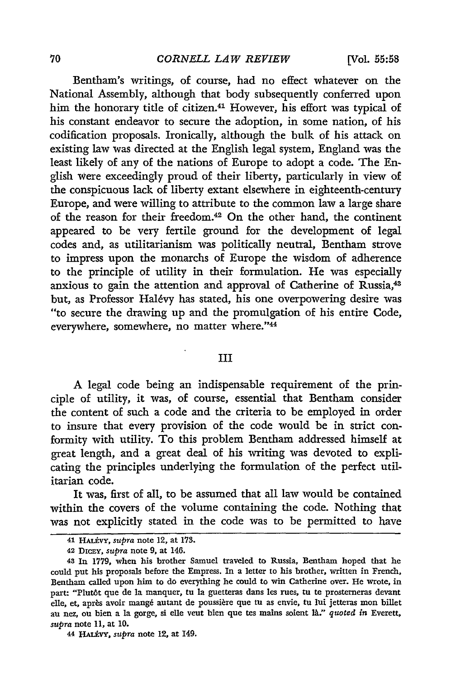Bentham's writings, of course, had no effect whatever on the National Assembly, although that body subsequently conferred upon him the honorary title of citizen.<sup>41</sup> However, his effort was typical of his constant endeavor to secure the adoption, in some nation, of his codification proposals. Ironically, although the bulk of his attack on existing law was directed at the English legal system, England was the least likely of any of the nations of Europe to adopt a code. The En**glish** were exceedingly proud of their liberty, particularly in view of the conspicuous lack of liberty extant elsewhere in eighteenth-century Europe, and were willing to attribute to the common law a large share of the reason for their freedom.<sup>42</sup> On the other hand, the continent appeared to be very fertile ground for the development of legal codes and, as utilitarianism was politically neutral, Bentham strove to impress upon the monarchs of Europe the wisdom of adherence to the principle of utility in their formulation. He was especially anxious to gain the attention and approval of Catherine of Russia,<sup>43</sup> but, as Professor Halévy has stated, his one overpowering desire was "to secure the drawing up and the promulgation of his entire Code, everywhere, somewhere, no matter where."44

#### **III**

**A** legal code being an indispensable requirement of the principle of utility, it was, of course, essential that Bentham consider the content of such a code and the criteria to be employed in order to insure that every provision of the code would be in strict conformity with utility. To this problem Bentham addressed himself at great length, and a great deal of his writing was devoted to explicating the principles underlying the formulation of the perfect utilitarian code.

It was, first of all, to be assumed that all law would be contained within the covers of the volume containing the code. Nothing that was not explicitly stated in the code was to be permitted to have

**44 HALvY,** *supra* note 12, at 149.

**<sup>41</sup>** HAUvY, *supra* note 12, at **173.**

**<sup>42</sup>** DicaY, *supra* note 9, at 146.

**<sup>43</sup>** In **1779,** when his brother Samuel traveled to Russia, Bentham hoped that he could put his proposals before the Empress. In a letter to his brother, written in French, Bentham called upon him to do everything he could to win Catherine over. He wrote, in part: "Plut6t que de la manquer, tu la guetteras dans les rues, tu te prosterneras devant elle, et, après avoir mangé autant de poussière que tu as envie, tu lui jetteras mon billet au nez, on bien a la gorge, si elle veut bien que tes mains soient *a:' quoted in* Everett, *supra* note **11,** at **10.**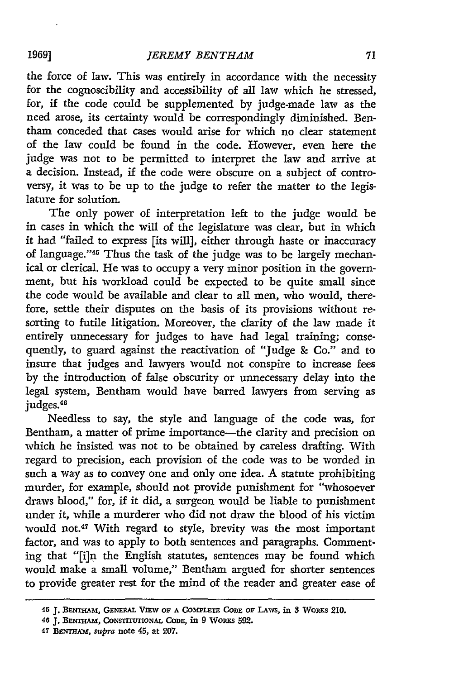the force of law. This was entirely in accordance with the necessity for the cognoscibility and accessibility of all law which he stressed, for, if the code could be supplemented by judge-made law as the need arose, its certainty would be correspondingly diminished. Bentham conceded that cases would arise for which no clear statement of the law could be found in the code. However, even here the judge was not to be permitted to interpret the law and arrive at a decision. Instead, if the code were obscure on a subject of controversy, it was to be up to the judge to refer the matter to the legislature for solution.

The only power of interpretation left to the judge would be in cases in which the will of the legislature was clear, but in which it had "failed to express [its will], either through haste or inaccuracy of language."<sup>45</sup> Thus the task of the judge was to be largely mechanical or clerical. He was to occupy a very minor position in the government, but his workload could be expected to be quite small since the code would be available and clear to all men, who would, therefore, settle their disputes on the basis of its provisions without resorting to futile litigation. Moreover, the clarity of the law made it entirely unnecessary for judges to have had legal training; consequently, to guard against the reactivation of "Judge **&** Co." and to insure that judges and lawyers would not conspire to increase fees by the introduction of false obscurity or unnecessary delay into the legal system, Bentham would have barred lawyers from serving as judges.<sup>46</sup>

Needless to say, the style and language of the code was, for Bentham, a matter of prime importance—the clarity and precision on which he insisted was not to be obtained by careless drafting. With regard to precision, each provision of the code was to be worded in such a way as to convey one and only one idea. A statute prohibiting murder, for example, should not provide punishment for "whosoever draws blood," for, if it did, a surgeon would be liable to punishment under it, while a murderer who did not draw the blood of his victim would not.47 With regard to style, brevity was the most important factor, and was to apply to both sentences and paragraphs. Commenting that "[i]n the English statutes, sentences may be found which would make a small volume," Bentham argued for shorter sentences to provide greater rest for the mind of the reader and greater ease of

<sup>45</sup> **J. BENTHAM, GENERAL VIEW OF A COMPLETE CODE OF LAWS, in 3 WORKS 210.** 

 $46$  **J. BENTHAM, CONSTITUTIONAL CODE, in 9 WORKS 592.** 

**<sup>47</sup>** *BENmTA,* supra **note** 45, at **207.**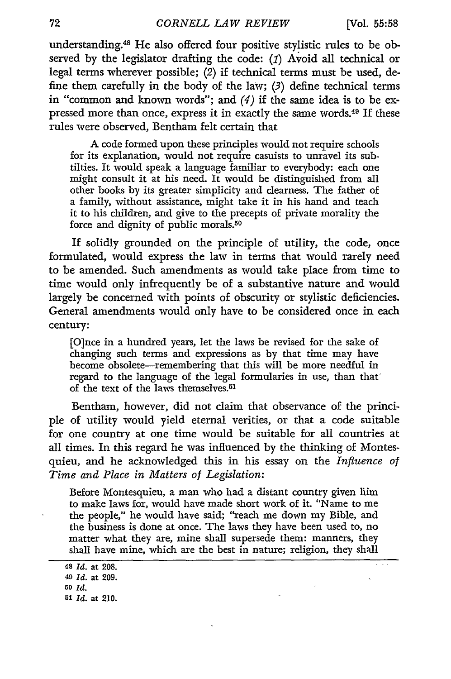$\frac{1}{2}$ 

understanding. 48 He also offered four positive stylistic rules to be observed by the legislator drafting the code: *(1)* Avoid all technical or legal terms wherever possible; *(2)* if technical terms must be used, define them carefully in the body of the law; *(3)* define technical terms in "common and known words"; and (4) if the same idea is to be expressed more than once, express it in exactly the same words.49 If these rules were observed, Bentham felt certain that

A code formed upon these principles would not require schools for its explanation, would not require casuists to unravel its subtilties. It would speak a language familiar to everybody: each one might consult it at his need. It would be distinguished from all other books **by** its greater simplicity and clearness. The father of a family, without assistance, might take it in his hand and teach it to his children, and give to the precepts of private morality the force and dignity of public morals.<sup>50</sup>

If solidly grounded on the principle of utility, the code, once formulated, would express the law in terms that would rarely need to be amended. Such amendments as would take place from time to time would only infrequently be of a substantive nature and would largely be concerned with points of obscurity or stylistic deficiencies. General amendments would only have to be considered once in each century:

[O]nce in a hundred years, let the laws be revised for the sake of changing such terms and expressions as **by** that time may have become obsolete-remembering that this will be more needful in regard to the language of the legal formularies in use, than that' of the text of the laws themselves.<sup>51</sup>

Bentham, however, did not claim that observance of the principle of utility would yield eternal verities, or that a code suitable for one country at one time would be suitable for all countries at all times. In this regard he was influenced **by** the thinking of Montesquieu, and he acknowledged this in his essay on the *Influence of Time and Place in Matters of Legislation:*

Before Montesquieu, a man who had a distant country given him to make laws for, would have made short work of it. "Name to me the people," he would have said; "reach me down my Bible, and the business is done at once. The laws they have been used to, no matter what they are, mine shall supersede them: manners, they shall have mine, which are the best in nature; religion, they shall

**<sup>48</sup>** *Id.* at 208. **49** *Id.* **at 209.**

**<sup>50</sup>** *Id.*

**<sup>51</sup>** *Id.* at 210.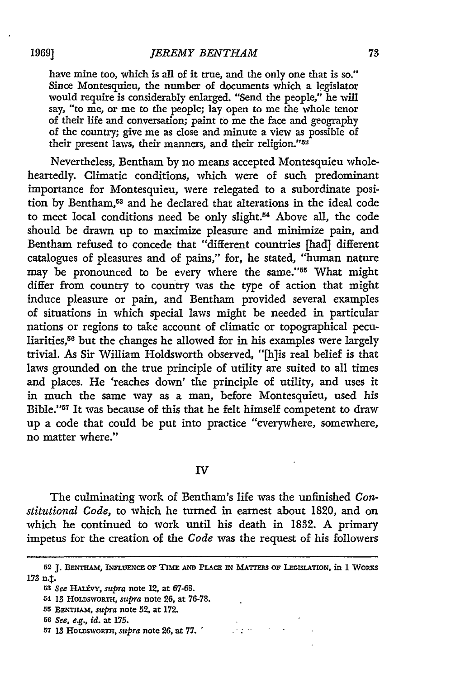have mine too, which is all of it true, and the only one that is so." Since Montesquieu, the number of documents which a legislator would require is considerably enlarged. "Send the people," he will say, "to me, or me to the people; lay open to me the whole tenor of their life and conversation; paint to me the face and geography of the country; give me as close and minute a view as possible of their present laws, their manners, and their religion."52

Nevertheless, Bentham by no means accepted Montesquieu wholeheartedly. Climatic conditions, which were of such predominant importance for Montesquieu, were relegated to a subordinate position by Bentham, 53 and he declared that alterations in the ideal code to meet local conditions need be only slight.54 Above all, the code should be drawn up to maximize pleasure and minimize pain, and Bentham refused to concede that "different countries [had] different catalogues of pleasures and of pains," for, he stated, "human nature may be pronounced to be every where the same."55 What might differ from country to country was the type of action that might induce pleasure or pain, and Bentham provided several examples of situations in which special laws might be needed in particular nations or regions to take account of climatic or topographical peculiarities, $56$  but the changes he allowed for in his examples were largely trivial. As Sir William Holdsworth observed, "[h]is real belief is that laws grounded on the true principle of utility are suited to all times and places. He 'reaches down' the principle of utility, and uses it in much the same way as a man, before Montesquieu, used his Bible. '57 It was because of this that he felt himself competent to draw up a code that could be put into practice "everywhere, somewhere, no matter where."

#### IV

The culminating work of Bentham's life was the unfinished *Constitutional Code,* to which he turned in earnest about 1820, and on which he continued to work until his death in 1832. A primary impetus for the creation of the *Code* was the request of his followers

 $\frac{1}{2\sqrt{2}}\left(\frac{1}{2}\right)^{2}$ 

**57 13 HOLDSWORTH,** *supra* **note** 26, at **77.**

**<sup>52</sup>** J. **BENTmAmt, INFLUIENcE oF** Tmim **AND PLAc IN MATrERs OF LEGISLATION, in** 1 Woaxs 173 n.t.

**<sup>53</sup>***See* **HALtVY,** *supra* note 12, at 67-68.

<sup>54 13</sup> HOLDSWORTH, *supra* note 26, at 76-78.

**<sup>55</sup> BENTHAm,** *supra* note 52, at **172.**

*<sup>56</sup>See, e.g., id.* at **175.**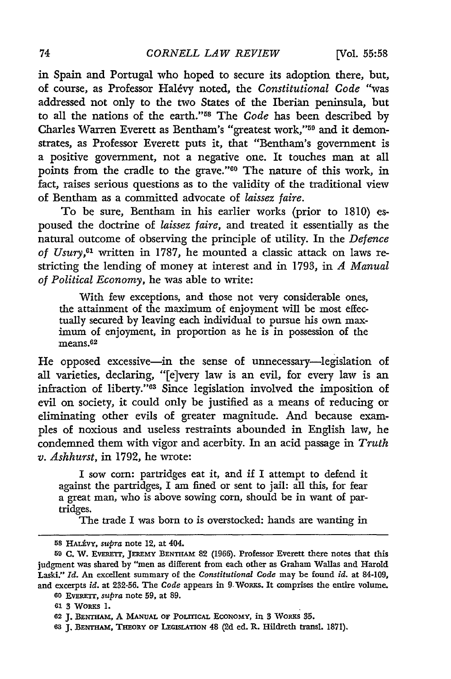in Spain and Portugal who hoped to secure its adoption there, but, of course, as Professor Hal~vy noted, the *Constitutional Code* "was addressed not only to the two States of the Iberian peninsula, but to all the nations of the earth."58 The *Code* has been described **by** Charles Warren Everett as Bentham's "greatest work,"<sup>59</sup> and it demonstrates, as Professor Everett puts it, that "Bentham's government is a positive government, not a negative one. It touches man at all points from the cradle to the grave."<sup>60</sup> The nature of this work, in fact, raises serious questions as to the validity of the traditional view of Bentham as a committed advocate of *laissez faire.*

To be sure, Bentham in his earlier works (prior to 1810) espoused the doctrine of *laissez faire,* and treated it essentially as the natural outcome of observing the principle of utility. In the *Defence of Usury,61* written in 1787, he mounted a classic attack on laws restricting the lending of money at interest and in 1793, in *A Manual of Political Economy,* he was able to write:

With few exceptions, and those not very considerable ones, the attainment of the maximum of enjoyment will be most effectually secured **by** leaving each individual to pursue his own maximum of enjoyment, in proportion as he is in possession of the means.<sup>62</sup>

He opposed excessive-in the sense of unnecessary-legislation of all varieties, declaring, "[e]very law is an evil, for every law is an infraction of liberty."63 Since legislation involved the imposition of evil on society, it could only be justified as a means of reducing or eliminating other evils of greater magnitude. And because examples of noxious and useless restraints abounded in English law, he condemned them with vigor and acerbity. In an acid passage in *Truth v. Ashhurst,* in **1792,** he wrote:

I sow corn: partridges eat it, and if I attempt to defend it against the partridges, I am fined or sent to jail: all this, for fear a great man, who is above sowing corn, should be in want of partridges.

The trade I was born to is overstocked: hands are wanting in

**<sup>8</sup> HALAVY,** *supra* note 12, at 404.

<sup>59</sup>**C.** W. **EvERmT,** JEREmY **BENTHAM 82 (1966).** Professor Everett there notes that this judgment was shared **by** "men as different from each other as Graham Wallas and Harold Laski." *Id.* An excellent summary of the *Constitutional Code* may be found *id.* **at** 84-109, and excerpts *id.* at **232-56.** The *Code* appears in 9.WoRKS. It comprises the entire volume.

**<sup>60</sup>** EvERETr, *supra* note **59,** at **89.**

**<sup>61</sup>** 3 WORKS **1.**

**<sup>62</sup> J. BENTHAM,** A **MANUAL** OF **PoLrTIcAL** ECONOMY, in 3 WopRs **35.**

**<sup>63</sup> J. BENTHAM, THEORY** oF **LEGISLATION** 48 **(2d ed.** R. Hildreth transl. **1871).**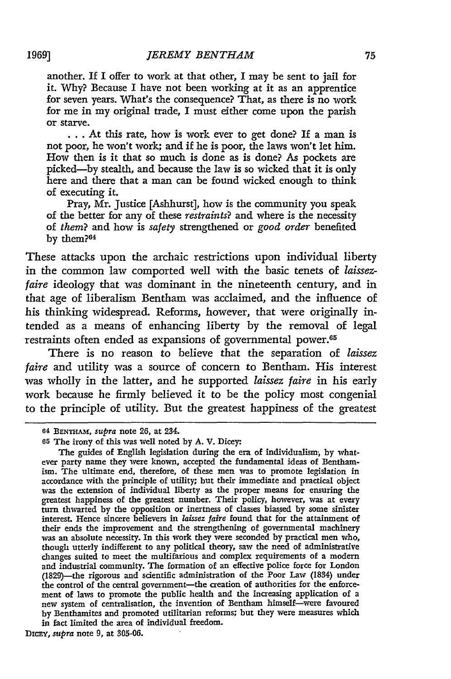another. If **I** offer to work at that other, I may be sent to jail for it. Why? Because I have not been working at it as an apprentice for seven years. What's the consequence? That, as there is no work for me in my original trade, I must either come upon the parish or starve.

... At this rate, how is work ever to get done? If a man is not poor, he won't work; and if he is poor, the laws won't let him. How then is it that so much is done as is done? As pockets are picked-by stealth, and because the law is so wicked that it is only here and there that a man can be found wicked enough to think of executing it.

Pray, Mr. Justice [Ashhurst], how is the community you speak of the better for any of these restraints? and where is the necessity of *them?* and how is *safety* strengthened or *good order* benefited by them?<sup>64</sup>

These attacks upon the archaic restrictions upon individual liberty in the common law comported well with the basic tenets of *laissezfaire* ideology that was dominant in the nineteenth century, and in that age of liberalism Bentham was acclaimed, and the influence of his thinking widespread. Reforms, however, that were originally intended as a means of enhancing liberty by the removal of legal restraints often ended as expansions of governmental power. <sup>65</sup>

There is no reason to believe that the separation of *laissez faire* and utility was a source of concern to Bentham. His interest was wholly in the latter, and he supported *laissez faire* in his early work because he firmly believed it to be the policy most congenial to the principle of utility. But the greatest happiness of the greatest

DICEY, *supra* note 9, at 305-06.

**<sup>04</sup>** BENTHAM, *supra* note 26, at 234.

**<sup>65</sup>** The irony of this was well noted by A. V. Dicey:

The guides of English legislation during the era of individualism, by whatever party name they were known, accepted the fundamental ideas of Benthamism. The ultimate end, therefore, of these men was to promote legislation in accordance with the principle of utility; but their immediate and practical object was the extension of individual liberty as the proper means for ensuring the greatest happiness of the greatest number. Their policy, however, was at every turn thwarted by the opposition or inertness of classes biassed by some sinister interest. Hence sincere believers in *laissez faire* found that for the attainment of their ends the improvement and the strengthening of governmental machinery was an absolute necessity. In this work they were seconded by practical men who, though utterly indifferent to any political theory, saw the need of administrative changes suited to meet the multifarious and complex requirements of a modern and industrial community. The formation of an effective police force for London (1829)-the rigorous and scientific administration of the Poor Law (1834) under the control of the central government-the creation of authorities for the enforcement of laws to promote the public health and the increasing application of a new system of centralisation, the invention of Bentham himself-were favoured by Benthamites and promoted utilitarian reforms; but they were measures which in fact limited the area of individual freedom.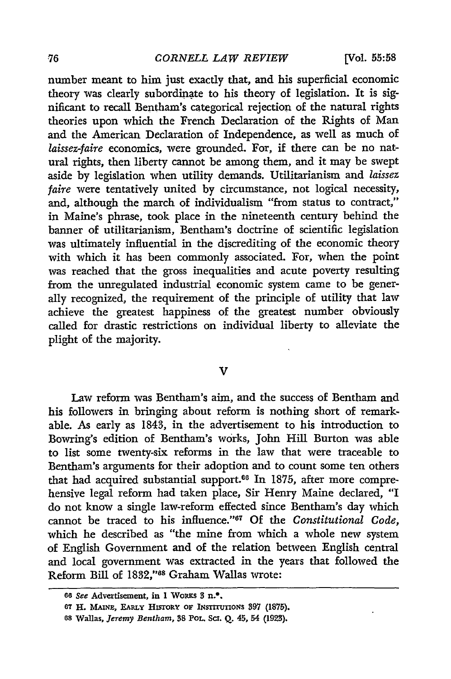number meant to him just exactly that, and his superficial economic theory was clearly subordinate to his theory of legislation. It is significant to recall Bentham's categorical rejection of the natural rights theories upon which the French Declaration of the Rights of Man and the American Declaration of Independence, as well as much of *laissez-faire* economics, were grounded. For, if there can be no natural rights, then liberty cannot be among them, and it may be swept aside **by** legislation when utility demands. Utilitarianism and *laissez faire* were tentatively united **by** circumstance, not logical necessity, and, although the march of individualism "from status to contract," in Maine's phrase, took place in the nineteenth century behind the banner of utilitarianism, Bentham's doctrine of scientific legislation was ultimately influential in the discrediting of the economic theory with which it has been commonly associated. For, when the point was reached that the gross inequalities and acute poverty resulting from the unregulated industrial economic system came to be generally recognized, the requirement of the principle of utility that law achieve the greatest happiness of the greatest number obviously called for drastic restrictions on individual liberty to alleviate the plight of the majority.

#### V

Law reform was Bentham's aim, and the success of Bentham and his followers in bringing about reform is nothing short of remarkable. As early as 1843, in the advertisement to his introduction to Bowring's edition of Bentham's works, John Hill Burton was able to list some twenty-six reforms in the law that were traceable to Bentham's arguments for their adoption and to count some ten others that had acquired substantial support.<sup>66</sup> In 1875, after more comprehensive legal reform had taken place, Sir Henry Maine declared, "I do not know a single law-reform effected since Bentham's day which cannot be traced to his influence."<sup>67</sup> Of the *Constitutional Code*, which he described as "the mine from which a whole new system of English Government and of the relation between English central and local government was extracted in the years that followed the Reform Bill of **1832,"68** Graham Wallas wrote:

<sup>66</sup> *See* Advertisement, in 1 WoRKs 3 n.<sup>2</sup>.

**<sup>67</sup> H. MAiNE, EAR.Ly HxsroRr** op **INSTITUTIoNs 397 (1875).**

**<sup>68</sup> Wallas,** *Jeremy Bentham,* **38** PoL. Sci. **Q.** 45, 54 **(1923).**